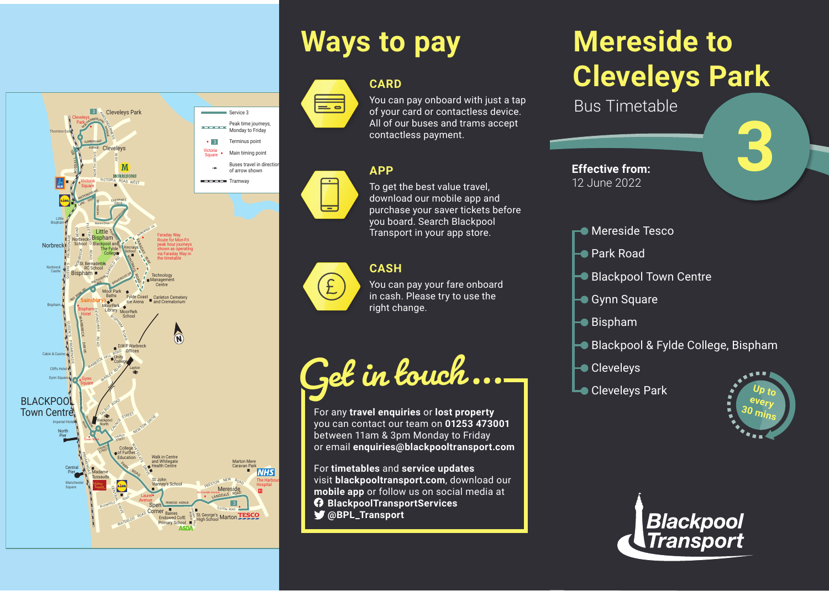

**CARD**





**BLACKPOOL** Town Centre

Imperial Hotel

North Pier

> Manchester Square

Central Pier

Blackpool North

CHURCH STREET

Madame **Tussauds** 

TALBOT ROAD CAUNCE STREET

> **CHURCH** <sup>S</sup>TREE<sup>T</sup>

C<sub>ENTRA</sub>L<br>C<sub>ENTRA</sub>L DRN<sub>IE</sub> BLOOMFIELD ROAD

WARBECK HILL ROAD

WARLEY ROAD

Spen Corner

St. John Vianney's School

Walk in Centre and Whitegat Health Centre

PENROSE AVENUE

Baines Endowed CofE Primary School

WATERLOO ROAD CONTRACT DE CARDINAL EN EN AVANTE DE CARD ANGELES CONTRACT DE CARD CONTRACT DE CARD PRESTON NEW ROAD AND CONTRACT DE CARD CONTRACT DE CARD PRESTON NEW ROAD CONTRACT DE CARD PRESENT DE CARD PRESENT DE CARD PRE

TR $E_{2}$ ROAD

Laurel Avenue

**DRIVE** 

NEWTON DRIVE

<sup>P</sup>AR<sup>K</sup> <sup>R</sup>OA<sup>D</sup>

College of Further Education

is<br>erin<br>on rx

s ■ CLIFTON ROAD<br>※ St. George's<br>● High School Marton

Borrowdale Avenue

**Mereside** 

Marton Mere Caravan Park

> The Harbour Hospital

 $\overline{\mathsf{WHS}}$ 

LANGDALE ROAD

Bispham

**PORBRECK ROAD** 

Norbreck School

> Bispham Hotel

EVOHR

INGTHORPE AVE.

St. Bernadettes RC School

z RE $\boldsymbol{\mathrm{z}}$  $\prec$ E

ŗ٢ Ez S **TO** Am

QUEEN'S PROMENADE

RED BANK RD

Gynn Square

> Pel<br>Ngj Road

> > Queen Street

PROMENONE

RD

Cleveleys Park

ROSSALL RD.

Victoria Square

<sup>L</sup>AN<sup>E</sup> A<sup>E</sup>AS<sup>T</sup> NCHORSHOLME

FLEETW

<sup>C</sup>UMBERLAND AVENUE

NORTH DRIVE

NORTHUMBERLAND

Little Bispham

Warren Drive

Blackpool and The Fylde College

**ASHFIELD RD.** 

Moor Park

Moor Park Library

BRIARWOOD DR.

a<sub>m</sub><br>ng  $\frac{1}{6}$ 

BISPHAM ROAD

> Unity College D.W.P.Warbreck **Offices**

NORTH DR.

KINCRAIGO Road

Kincraig School

> **Fylde Coast** Ice Arena

> > Layton

Moor Park School

NORCROSS LA

Technology Management Centre

> Carleton Cemetery and Crematorium

> > $\mathbf{\widehat{a}}$

Faraday Way Route for Mon-Fri peak hour journeys shown as operating via Faraday Way in the timetable

Victoria Square

TARADAY k<br>Y

**Norbreck** 

Norbreck Castle

Bispham

Cabin & Casino Cliffs Hotel Gynn Sq

Little Bispham

**Thornton Gate** 

Cleveleys

AY

<sup>V</sup>ICTORI<sup>A</sup> <sup>R</sup>OA<sup>D</sup> <sup>W</sup>ES<sup>T</sup>

**MORRISON** 

EASTPINES DRIVE

Sevenoaks Drive

#### **CASH**

You can pay your fare onboard in cash. Please try to use the right change.

**Get in touch...**

For any **travel enquiries** or **lost property** you can contact our team on **01253 473001** between 11am & 3pm Monday to Friday or email **enquiries@blackpooltransport.com**

For **timetables** and **service updates** visit **blackpooltransport.com**, download our **mobile app** or follow us on social media at **BlackpoolTransportServices**

**@BPL\_Transport**

# **Mereside to Cleveleys Park**

Bus Timetable

**Effective from:** 12 June 2022



#### **Mereside Tesco**

- Park Road
- Blackpool Town Centre
- **→ Gynn Square**
- $\blacktriangleright$  Bispham
- Blackpool & Fylde College, Bispham
- **Cleveleys**
- **Cleveleys Park**





 $\frac{M_{\text{max}}}{M_{\text{total}}}$  Service 3<br> $\frac{M_{\text{total}}}{M_{\text{total}}}$ Peak time journeys Monday to Friday Terminus point Main timing point Buses travel in direction of arrow shown Tramway You can pay onboard with just a tap of your card or contactless device. All of our buses and trams accept contactless payment. **APP** To get the best value travel, download our mobile app and purchase your saver tickets before you board. Search Blackpool Transport in your app store.